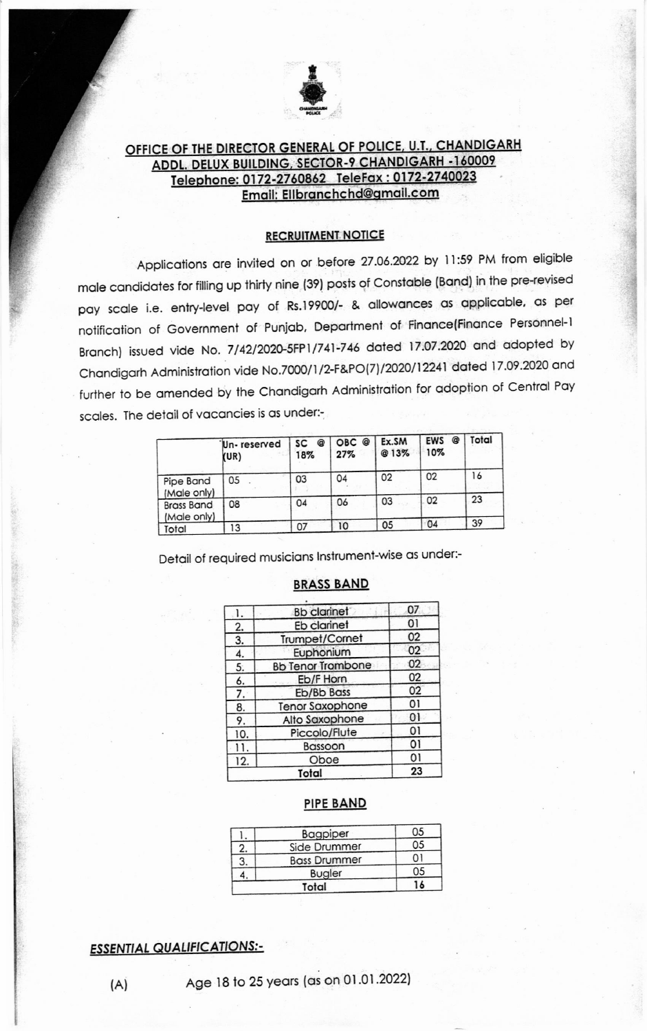

# OFFICE OF THE DIRECTOR GENERAL OF POLICE, U.T., CHANDIGARH ADDL. DELUX BUILDING, SECTOR-9 CHANDIGARH -160009 Telephone: 0172-2760862 TeleFax: 0172-2740023 Email: Ellbranchchd@gmail.com

### **RECRUITMENT NOTICE**

Applications are invited on or before 27.06.2022 by 11:59 PM from eligible male candidates for filling up thirty nine (39) posts of Constable (Band) in the pre-revised pay scale i.e. entry-level pay of Rs.19900/- & allowances as applicable, as per notification of Government of Punjab, Department of Finance(Finance Personnel-1 Branch) issued vide No. 7/42/2020-5FP1/741-746 dated 17.07.2020 and adopted by Chandigarh Administration vide No.7000/1/2-F&PO(7)/2020/12241 dated 17.09.2020 and further to be amended by the Chandigarh Administration for adoption of Central Pay scales. The detail of vacancies is as under:-

|                                  | Un-reserved<br>(UR) | Q<br>SC<br>18% | OBC @<br>27% | Ex.SM<br>@13% | Q<br><b>EWS</b><br>10% | Total |
|----------------------------------|---------------------|----------------|--------------|---------------|------------------------|-------|
| Pipe Band<br>(Male only)         | 05                  | 03             | 04           | 02            | 02                     | 16    |
| <b>Brass Band</b><br>(Male only) | 08                  | 04             | 06           | 03            | 02                     | 23    |
| Total                            | 13                  | 07             | 10           | 05            | 04                     | 39    |

Detail of required musicians Instrument-wise as under:-

#### **BRASS BAND**

|     | <b>Bb</b> clarinet       | 07 |
|-----|--------------------------|----|
| 2.  | Eb clarinet              | 01 |
| 3.  | Trumpet/Cornet           | 02 |
| 4.  | Euphonium                | 02 |
| 5.  | <b>Bb Tenor Trombone</b> | 02 |
| 6.  | Eb/F Horn                | 02 |
| 7.  | Eb/Bb Bass               | 02 |
| 8.  | <b>Tenor Saxophone</b>   | 01 |
| 9.  | Alto Saxophone           | 01 |
| 10. | Piccolo/Flute            | 01 |
|     | Bassoon                  | 01 |
| 12. | Oboe                     | 01 |
|     | otal                     | 23 |

#### **PIPE BAND**

|       | Bagpiper            | 05 |
|-------|---------------------|----|
| 2.    | Side Drummer        | 05 |
| 3.    | <b>Bass Drummer</b> |    |
|       | <b>Bugler</b>       | 05 |
| Total |                     | ۱6 |

## **ESSENTIAL QUALIFICATIONS:-**

 $(A)$ 

Age 18 to 25 years (as on 01.01.2022)